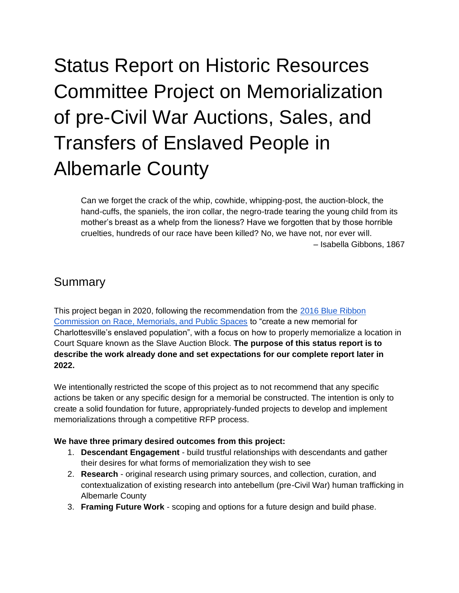# Status Report on Historic Resources Committee Project on Memorialization of pre-Civil War Auctions, Sales, and Transfers of Enslaved People in Albemarle County

Can we forget the crack of the whip, cowhide, whipping-post, the auction-block, the hand-cuffs, the spaniels, the iron collar, the negro-trade tearing the young child from its mother's breast as a whelp from the lioness? Have we forgotten that by those horrible cruelties, hundreds of our race have been killed? No, we have not, nor ever will. – Isabella Gibbons, 1867

## Summary

This project began in 2020, following the recommendation from the [2016 Blue Ribbon](https://civicclerk.blob.core.windows.net/stream/CHARLOTTESVILLEVA/0274b73e-ea1d-4abc-a9e4-2c104fec900f.pdf?sv=2015-12-11&sr=b&sig=ZXw/oPByD6dPGjInAofw4wUgxzuRU91JgwqAi0dpybo=&st=2021-02-12T15:43:12Z&se=2022-02-12T15:48:12Z&sp=r)  [Commission on Race, Memorials, and Public Spaces](https://civicclerk.blob.core.windows.net/stream/CHARLOTTESVILLEVA/0274b73e-ea1d-4abc-a9e4-2c104fec900f.pdf?sv=2015-12-11&sr=b&sig=ZXw/oPByD6dPGjInAofw4wUgxzuRU91JgwqAi0dpybo=&st=2021-02-12T15:43:12Z&se=2022-02-12T15:48:12Z&sp=r) to "create a new memorial for Charlottesville's enslaved population", with a focus on how to properly memorialize a location in Court Square known as the Slave Auction Block. **The purpose of this status report is to describe the work already done and set expectations for our complete report later in 2022.**

We intentionally restricted the scope of this project as to not recommend that any specific actions be taken or any specific design for a memorial be constructed. The intention is only to create a solid foundation for future, appropriately-funded projects to develop and implement memorializations through a competitive RFP process.

#### **We have three primary desired outcomes from this project:**

- 1. **Descendant Engagement** build trustful relationships with descendants and gather their desires for what forms of memorialization they wish to see
- 2. **Research** original research using primary sources, and collection, curation, and contextualization of existing research into antebellum (pre-Civil War) human trafficking in Albemarle County
- 3. **Framing Future Work** scoping and options for a future design and build phase.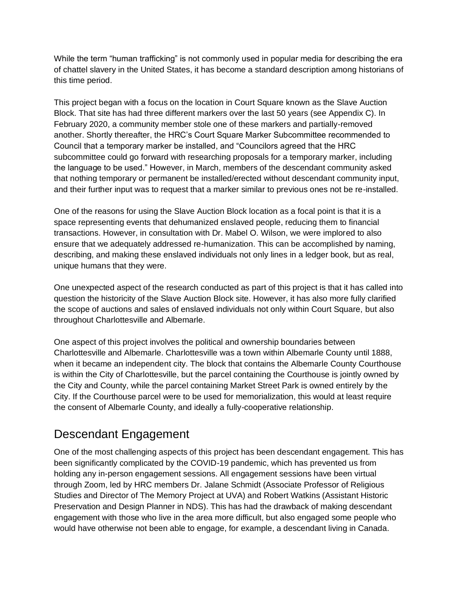While the term "human trafficking" is not commonly used in popular media for describing the era of chattel slavery in the United States, it has become a standard description among historians of this time period.

This project began with a focus on the location in Court Square known as the Slave Auction Block. That site has had three different markers over the last 50 years (see Appendix C). In February 2020, a community member stole one of these markers and partially-removed another. Shortly thereafter, the HRC's Court Square Marker Subcommittee recommended to Council that a temporary marker be installed, and "Councilors agreed that the HRC subcommittee could go forward with researching proposals for a temporary marker, including the language to be used." However, in March, members of the descendant community asked that nothing temporary or permanent be installed/erected without descendant community input, and their further input was to request that a marker similar to previous ones not be re-installed.

One of the reasons for using the Slave Auction Block location as a focal point is that it is a space representing events that dehumanized enslaved people, reducing them to financial transactions. However, in consultation with Dr. Mabel O. Wilson, we were implored to also ensure that we adequately addressed re-humanization. This can be accomplished by naming, describing, and making these enslaved individuals not only lines in a ledger book, but as real, unique humans that they were.

One unexpected aspect of the research conducted as part of this project is that it has called into question the historicity of the Slave Auction Block site. However, it has also more fully clarified the scope of auctions and sales of enslaved individuals not only within Court Square, but also throughout Charlottesville and Albemarle.

One aspect of this project involves the political and ownership boundaries between Charlottesville and Albemarle. Charlottesville was a town within Albemarle County until 1888, when it became an independent city. The block that contains the Albemarle County Courthouse is within the City of Charlottesville, but the parcel containing the Courthouse is jointly owned by the City and County, while the parcel containing Market Street Park is owned entirely by the City. If the Courthouse parcel were to be used for memorialization, this would at least require the consent of Albemarle County, and ideally a fully-cooperative relationship.

## Descendant Engagement

One of the most challenging aspects of this project has been descendant engagement. This has been significantly complicated by the COVID-19 pandemic, which has prevented us from holding any in-person engagement sessions. All engagement sessions have been virtual through Zoom, led by HRC members Dr. Jalane Schmidt (Associate Professor of Religious Studies and Director of The Memory Project at UVA) and Robert Watkins (Assistant Historic Preservation and Design Planner in NDS). This has had the drawback of making descendant engagement with those who live in the area more difficult, but also engaged some people who would have otherwise not been able to engage, for example, a descendant living in Canada.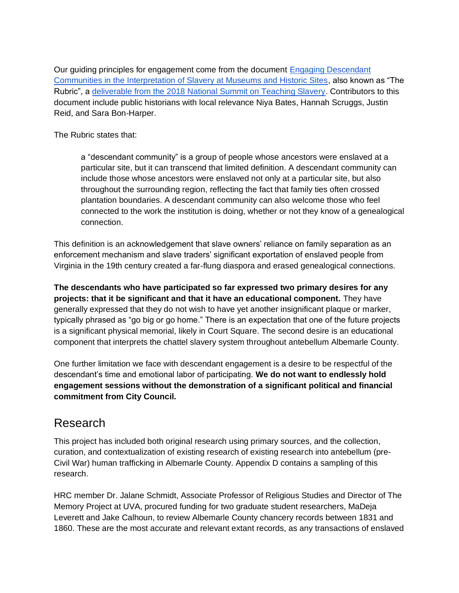Our guiding principles for engagement come from the document Engaging Descendant [Communities in the Interpretation of Slavery at Museums and Historic Sites,](https://montpelier-documents.s3.amazonaws.com/Interpreting%20Slavery%2011-12-19.pdf) also known as "The Rubric", a [deliverable from the 2018 National Summit on Teaching Slavery.](https://montpelierdescendants.org/rubric/) Contributors to this document include public historians with local relevance Niya Bates, Hannah Scruggs, Justin Reid, and Sara Bon-Harper.

The Rubric states that:

a "descendant community" is a group of people whose ancestors were enslaved at a particular site, but it can transcend that limited definition. A descendant community can include those whose ancestors were enslaved not only at a particular site, but also throughout the surrounding region, reflecting the fact that family ties often crossed plantation boundaries. A descendant community can also welcome those who feel connected to the work the institution is doing, whether or not they know of a genealogical connection.

This definition is an acknowledgement that slave owners' reliance on family separation as an enforcement mechanism and slave traders' significant exportation of enslaved people from Virginia in the 19th century created a far-flung diaspora and erased genealogical connections.

**The descendants who have participated so far expressed two primary desires for any projects: that it be significant and that it have an educational component.** They have generally expressed that they do not wish to have yet another insignificant plaque or marker, typically phrased as "go big or go home." There is an expectation that one of the future projects is a significant physical memorial, likely in Court Square. The second desire is an educational component that interprets the chattel slavery system throughout antebellum Albemarle County.

One further limitation we face with descendant engagement is a desire to be respectful of the descendant's time and emotional labor of participating. **We do not want to endlessly hold engagement sessions without the demonstration of a significant political and financial commitment from City Council.** 

## Research

This project has included both original research using primary sources, and the collection, curation, and contextualization of existing research of existing research into antebellum (pre-Civil War) human trafficking in Albemarle County. Appendix D contains a sampling of this research.

HRC member Dr. Jalane Schmidt, Associate Professor of Religious Studies and Director of The Memory Project at UVA, procured funding for two graduate student researchers, MaDeja Leverett and Jake Calhoun, to review Albemarle County chancery records between 1831 and 1860. These are the most accurate and relevant extant records, as any transactions of enslaved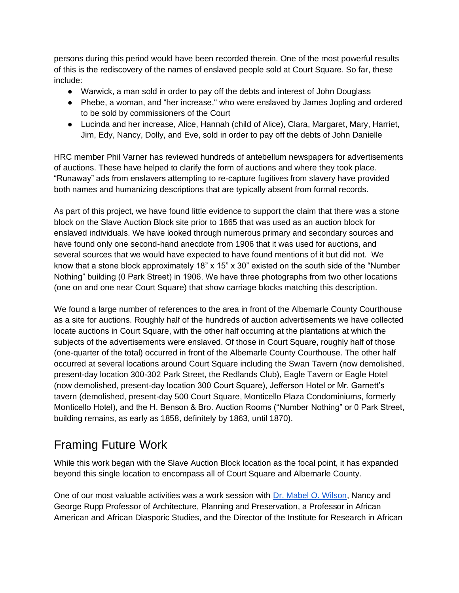persons during this period would have been recorded therein. One of the most powerful results of this is the rediscovery of the names of enslaved people sold at Court Square. So far, these include:

- Warwick, a man sold in order to pay off the debts and interest of John Douglass
- Phebe, a woman, and "her increase," who were enslaved by James Jopling and ordered to be sold by commissioners of the Court
- Lucinda and her increase, Alice, Hannah (child of Alice), Clara, Margaret, Mary, Harriet, Jim, Edy, Nancy, Dolly, and Eve, sold in order to pay off the debts of John Danielle

HRC member Phil Varner has reviewed hundreds of antebellum newspapers for advertisements of auctions. These have helped to clarify the form of auctions and where they took place. "Runaway" ads from enslavers attempting to re-capture fugitives from slavery have provided both names and humanizing descriptions that are typically absent from formal records.

As part of this project, we have found little evidence to support the claim that there was a stone block on the Slave Auction Block site prior to 1865 that was used as an auction block for enslaved individuals. We have looked through numerous primary and secondary sources and have found only one second-hand anecdote from 1906 that it was used for auctions, and several sources that we would have expected to have found mentions of it but did not. We know that a stone block approximately 18" x 15" x 30" existed on the south side of the "Number Nothing" building (0 Park Street) in 1906. We have three photographs from two other locations (one on and one near Court Square) that show carriage blocks matching this description.

We found a large number of references to the area in front of the Albemarle County Courthouse as a site for auctions. Roughly half of the hundreds of auction advertisements we have collected locate auctions in Court Square, with the other half occurring at the plantations at which the subjects of the advertisements were enslaved. Of those in Court Square, roughly half of those (one-quarter of the total) occurred in front of the Albemarle County Courthouse. The other half occurred at several locations around Court Square including the Swan Tavern (now demolished, present-day location 300-302 Park Street, the Redlands Club), Eagle Tavern or Eagle Hotel (now demolished, present-day location 300 Court Square), Jefferson Hotel or Mr. Garnett's tavern (demolished, present-day 500 Court Square, Monticello Plaza Condominiums, formerly Monticello Hotel), and the H. Benson & Bro. Auction Rooms ("Number Nothing" or 0 Park Street, building remains, as early as 1858, definitely by 1863, until 1870).

## Framing Future Work

While this work began with the Slave Auction Block location as the focal point, it has expanded beyond this single location to encompass all of Court Square and Albemarle County.

One of our most valuable activities was a work session with [Dr. Mabel O. Wilson,](https://www.arch.columbia.edu/faculty/34-mabel-o-wilson) Nancy and George Rupp Professor of Architecture, Planning and Preservation, a Professor in African American and African Diasporic Studies, and the Director of the Institute for Research in African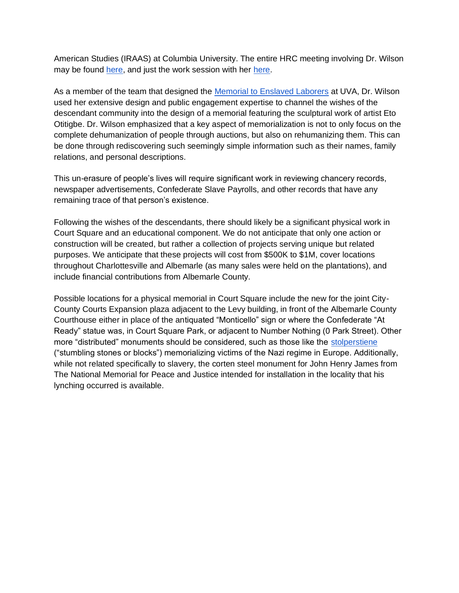American Studies (IRAAS) at Columbia University. The entire HRC meeting involving Dr. Wilson may be found [here,](https://fb.watch/aV58xmlZpW/) and just the work session with her [here.](https://youtu.be/VocVrtk-Pyo)

As a member of the team that designed the [Memorial to Enslaved Laborers](https://slavery.virginia.edu/memorial-for-enslaved-laborers/) at UVA, Dr. Wilson used her extensive design and public engagement expertise to channel the wishes of the descendant community into the design of a memorial featuring the sculptural work of artist Eto Otitigbe. Dr. Wilson emphasized that a key aspect of memorialization is not to only focus on the complete dehumanization of people through auctions, but also on rehumanizing them. This can be done through rediscovering such seemingly simple information such as their names, family relations, and personal descriptions.

This un-erasure of people's lives will require significant work in reviewing chancery records, newspaper advertisements, Confederate Slave Payrolls, and other records that have any remaining trace of that person's existence.

Following the wishes of the descendants, there should likely be a significant physical work in Court Square and an educational component. We do not anticipate that only one action or construction will be created, but rather a collection of projects serving unique but related purposes. We anticipate that these projects will cost from \$500K to \$1M, cover locations throughout Charlottesville and Albemarle (as many sales were held on the plantations), and include financial contributions from Albemarle County.

Possible locations for a physical memorial in Court Square include the new for the joint City-County Courts Expansion plaza adjacent to the Levy building, in front of the Albemarle County Courthouse either in place of the antiquated "Monticello" sign or where the Confederate "At Ready" statue was, in Court Square Park, or adjacent to Number Nothing (0 Park Street). Other more "distributed" monuments should be considered, such as those like the [stolperstiene](http://www.stolpersteine.eu/en/home/) ("stumbling stones or blocks") memorializing victims of the Nazi regime in Europe. Additionally, while not related specifically to slavery, the corten steel monument for John Henry James from The National Memorial for Peace and Justice intended for installation in the locality that his lynching occurred is available.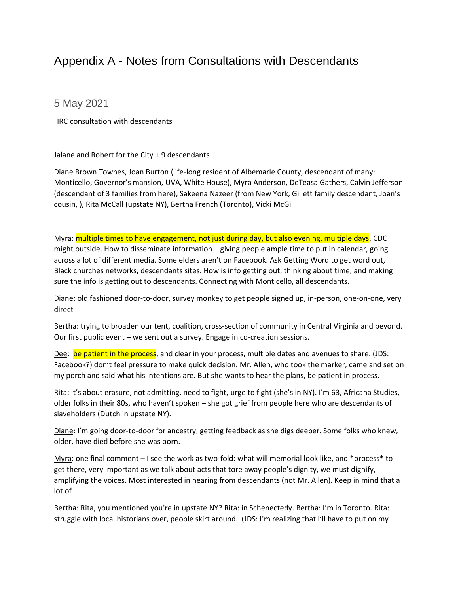## Appendix A - Notes from Consultations with Descendants

5 May 2021

HRC consultation with descendants

Jalane and Robert for the City + 9 descendants

Diane Brown Townes, Joan Burton (life-long resident of Albemarle County, descendant of many: Monticello, Governor's mansion, UVA, White House), Myra Anderson, DeTeasa Gathers, Calvin Jefferson (descendant of 3 families from here), Sakeena Nazeer (from New York, Gillett family descendant, Joan's cousin, ), Rita McCall (upstate NY), Bertha French (Toronto), Vicki McGill

Myra: multiple times to have engagement, not just during day, but also evening, multiple days. CDC might outside. How to disseminate information – giving people ample time to put in calendar, going across a lot of different media. Some elders aren't on Facebook. Ask Getting Word to get word out, Black churches networks, descendants sites. How is info getting out, thinking about time, and making sure the info is getting out to descendants. Connecting with Monticello, all descendants.

Diane: old fashioned door-to-door, survey monkey to get people signed up, in-person, one-on-one, very direct

Bertha: trying to broaden our tent, coalition, cross-section of community in Central Virginia and beyond. Our first public event – we sent out a survey. Engage in co-creation sessions.

Dee: be patient in the process, and clear in your process, multiple dates and avenues to share. (JDS: Facebook?) don't feel pressure to make quick decision. Mr. Allen, who took the marker, came and set on my porch and said what his intentions are. But she wants to hear the plans, be patient in process.

Rita: it's about erasure, not admitting, need to fight, urge to fight (she's in NY). I'm 63, Africana Studies, older folks in their 80s, who haven't spoken – she got grief from people here who are descendants of slaveholders (Dutch in upstate NY).

Diane: I'm going door-to-door for ancestry, getting feedback as she digs deeper. Some folks who knew, older, have died before she was born.

Myra: one final comment – I see the work as two-fold: what will memorial look like, and \*process\* to get there, very important as we talk about acts that tore away people's dignity, we must dignify, amplifying the voices. Most interested in hearing from descendants (not Mr. Allen). Keep in mind that a lot of

Bertha: Rita, you mentioned you're in upstate NY? Rita: in Schenectedy. Bertha: I'm in Toronto. Rita: struggle with local historians over, people skirt around. (JDS: I'm realizing that I'll have to put on my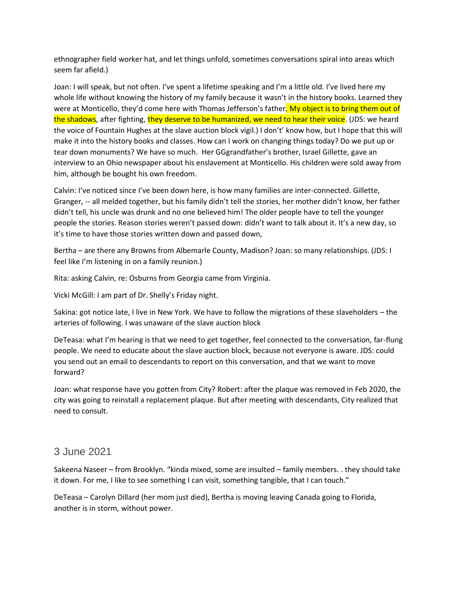ethnographer field worker hat, and let things unfold, sometimes conversations spiral into areas which seem far afield.)

Joan: I will speak, but not often. I've spent a lifetime speaking and I'm a little old. I've lived here my whole life without knowing the history of my family because it wasn't in the history books. Learned they were at Monticello, they'd come here with Thomas Jefferson's father. My object is to bring them out of the shadows, after fighting, they deserve to be humanized, we need to hear their voice. (JDS: we heard the voice of Fountain Hughes at the slave auction block vigil.) I don't' know how, but I hope that this will make it into the history books and classes. How can I work on changing things today? Do we put up or tear down monuments? We have so much. Her GGgrandfather's brother, Israel Gillette, gave an interview to an Ohio newspaper about his enslavement at Monticello. His children were sold away from him, although be bought his own freedom.

Calvin: I've noticed since I've been down here, is how many families are inter-connected. Gillette, Granger, -- all melded together, but his family didn't tell the stories, her mother didn't know, her father didn't tell, his uncle was drunk and no one believed him! The older people have to tell the younger people the stories. Reason stories weren't passed down: didn't want to talk about it. It's a new day, so it's time to have those stories written down and passed down,

Bertha – are there any Browns from Albemarle County, Madison? Joan: so many relationships. (JDS: I feel like I'm listening in on a family reunion.)

Rita: asking Calvin, re: Osburns from Georgia came from Virginia.

Vicki McGill: I am part of Dr. Shelly's Friday night.

Sakina: got notice late, I live in New York. We have to follow the migrations of these slaveholders – the arteries of following. I was unaware of the slave auction block

DeTeasa: what I'm hearing is that we need to get together, feel connected to the conversation, far-flung people. We need to educate about the slave auction block, because not everyone is aware. JDS: could you send out an email to descendants to report on this conversation, and that we want to move forward?

Joan: what response have you gotten from City? Robert: after the plaque was removed in Feb 2020, the city was going to reinstall a replacement plaque. But after meeting with descendants, City realized that need to consult.

#### 3 June 2021

Sakeena Naseer – from Brooklyn. "kinda mixed, some are insulted – family members. . they should take it down. For me, I like to see something I can visit, something tangible, that I can touch."

DeTeasa – Carolyn Dillard (her mom just died), Bertha is moving leaving Canada going to Florida, another is in storm, without power.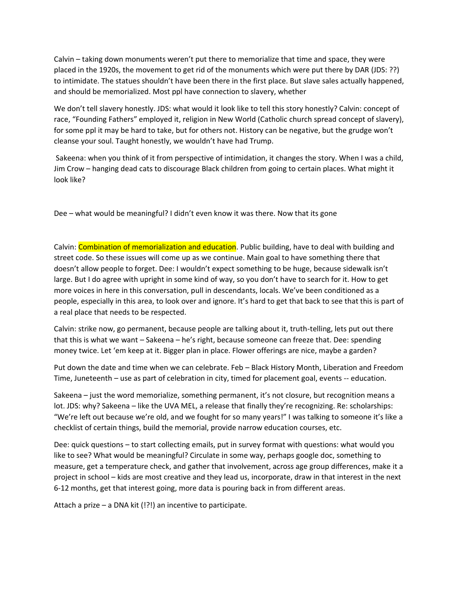Calvin – taking down monuments weren't put there to memorialize that time and space, they were placed in the 1920s, the movement to get rid of the monuments which were put there by DAR (JDS: ??) to intimidate. The statues shouldn't have been there in the first place. But slave sales actually happened, and should be memorialized. Most ppl have connection to slavery, whether

We don't tell slavery honestly. JDS: what would it look like to tell this story honestly? Calvin: concept of race, "Founding Fathers" employed it, religion in New World (Catholic church spread concept of slavery), for some ppl it may be hard to take, but for others not. History can be negative, but the grudge won't cleanse your soul. Taught honestly, we wouldn't have had Trump.

Sakeena: when you think of it from perspective of intimidation, it changes the story. When I was a child, Jim Crow – hanging dead cats to discourage Black children from going to certain places. What might it look like?

Dee – what would be meaningful? I didn't even know it was there. Now that its gone

Calvin: Combination of memorialization and education. Public building, have to deal with building and street code. So these issues will come up as we continue. Main goal to have something there that doesn't allow people to forget. Dee: I wouldn't expect something to be huge, because sidewalk isn't large. But I do agree with upright in some kind of way, so you don't have to search for it. How to get more voices in here in this conversation, pull in descendants, locals. We've been conditioned as a people, especially in this area, to look over and ignore. It's hard to get that back to see that this is part of a real place that needs to be respected.

Calvin: strike now, go permanent, because people are talking about it, truth-telling, lets put out there that this is what we want – Sakeena – he's right, because someone can freeze that. Dee: spending money twice. Let 'em keep at it. Bigger plan in place. Flower offerings are nice, maybe a garden?

Put down the date and time when we can celebrate. Feb – Black History Month, Liberation and Freedom Time, Juneteenth – use as part of celebration in city, timed for placement goal, events -- education.

Sakeena – just the word memorialize, something permanent, it's not closure, but recognition means a lot. JDS: why? Sakeena – like the UVA MEL, a release that finally they're recognizing. Re: scholarships: "We're left out because we're old, and we fought for so many years!" I was talking to someone it's like a checklist of certain things, build the memorial, provide narrow education courses, etc.

Dee: quick questions – to start collecting emails, put in survey format with questions: what would you like to see? What would be meaningful? Circulate in some way, perhaps google doc, something to measure, get a temperature check, and gather that involvement, across age group differences, make it a project in school – kids are most creative and they lead us, incorporate, draw in that interest in the next 6-12 months, get that interest going, more data is pouring back in from different areas.

Attach a prize – a DNA kit (!?!) an incentive to participate.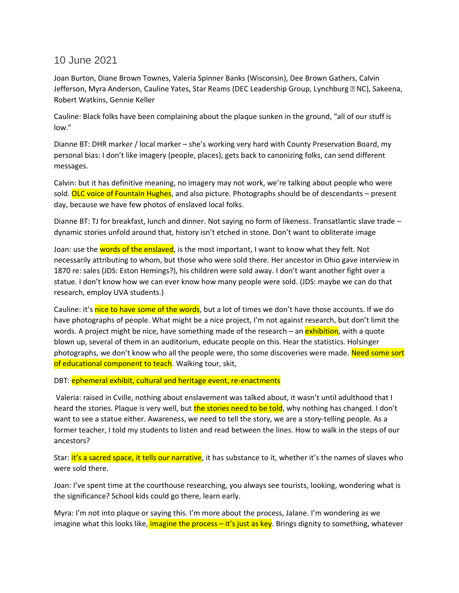#### 10 June 2021

Joan Burton, Diane Brown Townes, Valeria Spinner Banks (Wisconsin), Dee Brown Gathers, Calvin Jefferson, Myra Anderson, Cauline Yates, Star Reams (DEC Leadership Group, Lynchburg **III NC)**, Sakeena, Robert Watkins, Gennie Keller

Cauline: Black folks have been complaining about the plaque sunken in the ground, "all of our stuff is low."

Dianne BT: DHR marker / local marker – she's working very hard with County Preservation Board, my personal bias: I don't like imagery (people, places), gets back to canonizing folks, can send different messages.

Calvin: but it has definitive meaning, no imagery may not work, we're talking about people who were sold. OLC voice of Fountain Hughes, and also picture. Photographs should be of descendants – present day, because we have few photos of enslaved local folks.

Dianne BT: TJ for breakfast, lunch and dinner. Not saying no form of likeness. Transatlantic slave trade – dynamic stories unfold around that, history isn't etched in stone. Don't want to obliterate image

Joan: use the words of the enslaved, is the most important, I want to know what they felt. Not necessarily attributing to whom, but those who were sold there. Her ancestor in Ohio gave interview in 1870 re: sales (JDS: Eston Hemings?), his children were sold away. I don't want another fight over a statue. I don't know how we can ever know how many people were sold. (JDS: maybe we can do that research, employ UVA students.)

Cauline: it's nice to have some of the words, but a lot of times we don't have those accounts. If we do have photographs of people. What might be a nice project, I'm not against research, but don't limit the words. A project might be nice, have something made of the research – an exhibition, with a quote blown up, several of them in an auditorium, educate people on this. Hear the statistics. Holsinger photographs, we don't know who all the people were, tho some discoveries were made. Need some sort of educational component to teach. Walking tour, skit,

DBT: ephemeral exhibit, cultural and heritage event, re-enactments

Valeria: raised in Cville, nothing about enslavement was talked about, it wasn't until adulthood that I heard the stories. Plaque is very well, but the stories need to be told, why nothing has changed. I don't want to see a statue either. Awareness, we need to tell the story, we are a story-telling people. As a former teacher, I told my students to listen and read between the lines. How to walk in the steps of our ancestors?

Star: it's a sacred space, it tells our narrative, it has substance to it, whether it's the names of slaves who were sold there.

Joan: I've spent time at the courthouse researching, you always see tourists, looking, wondering what is the significance? School kids could go there, learn early.

Myra: I'm not into plaque or saying this. I'm more about the process, Jalane. I'm wondering as we imagine what this looks like, *imagine the process – it's just as key*. Brings dignity to something, whatever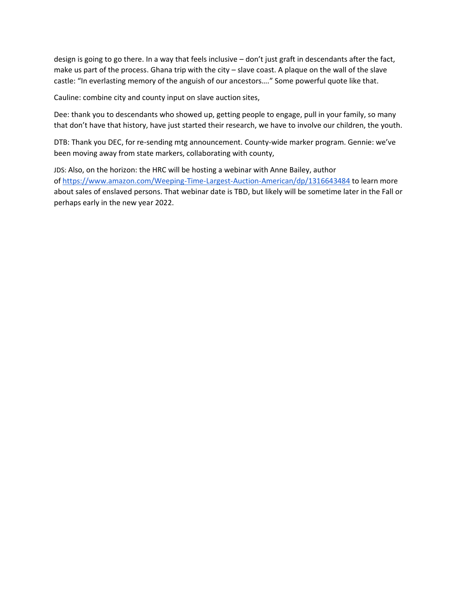design is going to go there. In a way that feels inclusive – don't just graft in descendants after the fact, make us part of the process. Ghana trip with the city – slave coast. A plaque on the wall of the slave castle: "In everlasting memory of the anguish of our ancestors…." Some powerful quote like that.

Cauline: combine city and county input on slave auction sites,

Dee: thank you to descendants who showed up, getting people to engage, pull in your family, so many that don't have that history, have just started their research, we have to involve our children, the youth.

DTB: Thank you DEC, for re-sending mtg announcement. County-wide marker program. Gennie: we've been moving away from state markers, collaborating with county,

JDS: Also, on the horizon: the HRC will be hosting a webinar with Anne Bailey, author of <https://www.amazon.com/Weeping-Time-Largest-Auction-American/dp/1316643484> to learn more about sales of enslaved persons. That webinar date is TBD, but likely will be sometime later in the Fall or perhaps early in the new year 2022.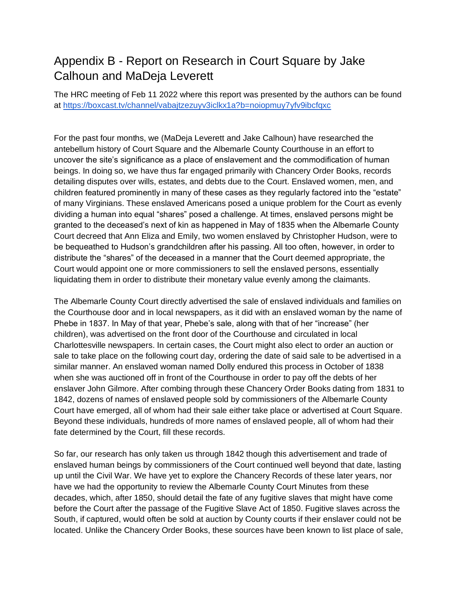## Appendix B - Report on Research in Court Square by Jake Calhoun and MaDeja Leverett

The HRC meeting of Feb 11 2022 where this report was presented by the authors can be found at<https://boxcast.tv/channel/vabajtzezuyv3iclkx1a?b=noiopmuy7yfv9ibcfqxc>

For the past four months, we (MaDeja Leverett and Jake Calhoun) have researched the antebellum history of Court Square and the Albemarle County Courthouse in an effort to uncover the site's significance as a place of enslavement and the commodification of human beings. In doing so, we have thus far engaged primarily with Chancery Order Books, records detailing disputes over wills, estates, and debts due to the Court. Enslaved women, men, and children featured prominently in many of these cases as they regularly factored into the "estate" of many Virginians. These enslaved Americans posed a unique problem for the Court as evenly dividing a human into equal "shares" posed a challenge. At times, enslaved persons might be granted to the deceased's next of kin as happened in May of 1835 when the Albemarle County Court decreed that Ann Eliza and Emily, two women enslaved by Christopher Hudson, were to be bequeathed to Hudson's grandchildren after his passing. All too often, however, in order to distribute the "shares" of the deceased in a manner that the Court deemed appropriate, the Court would appoint one or more commissioners to sell the enslaved persons, essentially liquidating them in order to distribute their monetary value evenly among the claimants.

The Albemarle County Court directly advertised the sale of enslaved individuals and families on the Courthouse door and in local newspapers, as it did with an enslaved woman by the name of Phebe in 1837. In May of that year, Phebe's sale, along with that of her "increase" (her children), was advertised on the front door of the Courthouse and circulated in local Charlottesville newspapers. In certain cases, the Court might also elect to order an auction or sale to take place on the following court day, ordering the date of said sale to be advertised in a similar manner. An enslaved woman named Dolly endured this process in October of 1838 when she was auctioned off in front of the Courthouse in order to pay off the debts of her enslaver John Gilmore. After combing through these Chancery Order Books dating from 1831 to 1842, dozens of names of enslaved people sold by commissioners of the Albemarle County Court have emerged, all of whom had their sale either take place or advertised at Court Square. Beyond these individuals, hundreds of more names of enslaved people, all of whom had their fate determined by the Court, fill these records.

So far, our research has only taken us through 1842 though this advertisement and trade of enslaved human beings by commissioners of the Court continued well beyond that date, lasting up until the Civil War. We have yet to explore the Chancery Records of these later years, nor have we had the opportunity to review the Albemarle County Court Minutes from these decades, which, after 1850, should detail the fate of any fugitive slaves that might have come before the Court after the passage of the Fugitive Slave Act of 1850. Fugitive slaves across the South, if captured, would often be sold at auction by County courts if their enslaver could not be located. Unlike the Chancery Order Books, these sources have been known to list place of sale,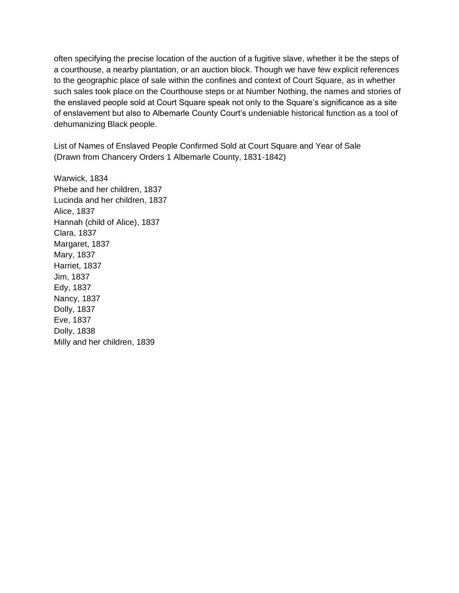often specifying the precise location of the auction of a fugitive slave, whether it be the steps of a courthouse, a nearby plantation, or an auction block. Though we have few explicit references to the geographic place of sale within the confines and context of Court Square, as in whether such sales took place on the Courthouse steps or at Number Nothing, the names and stories of the enslaved people sold at Court Square speak not only to the Square's significance as a site of enslavement but also to Albemarle County Court's undeniable historical function as a tool of dehumanizing Black people.

List of Names of Enslaved People Confirmed Sold at Court Square and Year of Sale (Drawn from Chancery Orders 1 Albemarle County, 1831-1842)

Warwick, 1834 Phebe and her children, 1837 Lucinda and her children, 1837 Alice, 1837 Hannah (child of Alice), 1837 Clara, 1837 Margaret, 1837 Mary, 1837 Harriet, 1837 Jim, 1837 Edy, 1837 Nancy, 1837 Dolly, 1837 Eve, 1837 Dolly, 1838 Milly and her children, 1839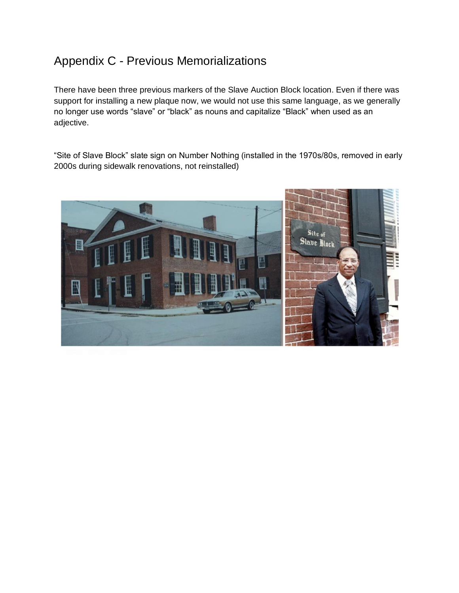## Appendix C - Previous Memorializations

There have been three previous markers of the Slave Auction Block location. Even if there was support for installing a new plaque now, we would not use this same language, as we generally no longer use words "slave" or "black" as nouns and capitalize "Black" when used as an adjective.

"Site of Slave Block" slate sign on Number Nothing (installed in the 1970s/80s, removed in early 2000s during sidewalk renovations, not reinstalled)

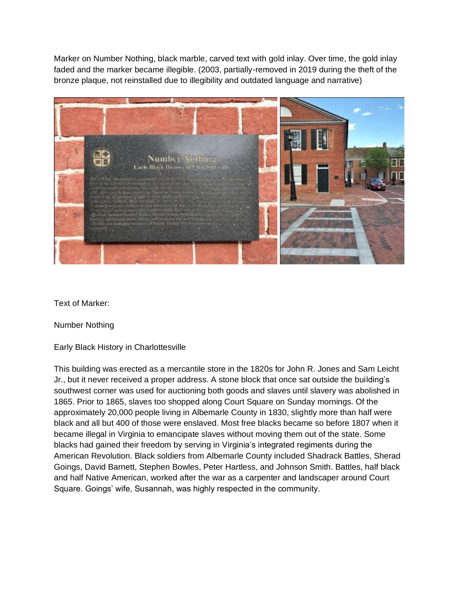Marker on Number Nothing, black marble, carved text with gold inlay. Over time, the gold inlay faded and the marker became illegible. (2003, partially-removed in 2019 during the theft of the bronze plaque, not reinstalled due to illegibility and outdated language and narrative)



Text of Marker:

Number Nothing

Early Black History in Charlottesville

This building was erected as a mercantile store in the 1820s for John R. Jones and Sam Leicht Jr., but it never received a proper address. A stone block that once sat outside the building's southwest corner was used for auctioning both goods and slaves until slavery was abolished in 1865. Prior to 1865, slaves too shopped along Court Square on Sunday mornings. Of the approximately 20,000 people living in Albemarle County in 1830, slightly more than half were black and all but 400 of those were enslaved. Most free blacks became so before 1807 when it became illegal in Virginia to emancipate slaves without moving them out of the state. Some blacks had gained their freedom by serving in Virginia's integrated regiments during the American Revolution. Black soldiers from Albemarle County included Shadrack Battles, Sherad Goings, David Barnett, Stephen Bowles, Peter Hartless, and Johnson Smith. Battles, half black and half Native American, worked after the war as a carpenter and landscaper around Court Square. Goings' wife, Susannah, was highly respected in the community.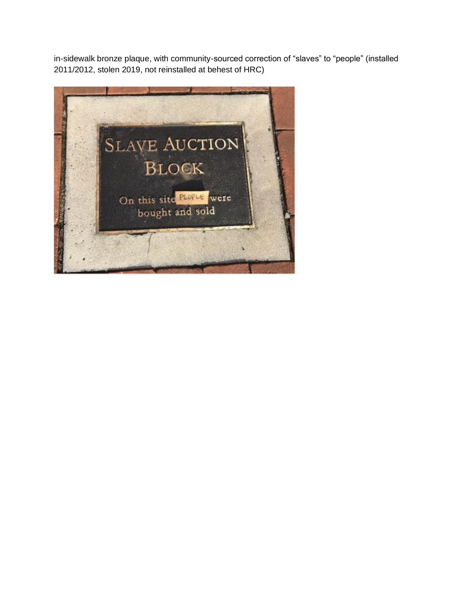in-sidewalk bronze plaque, with community-sourced correction of "slaves" to "people" (installed 2011/2012, stolen 2019, not reinstalled at behest of HRC)

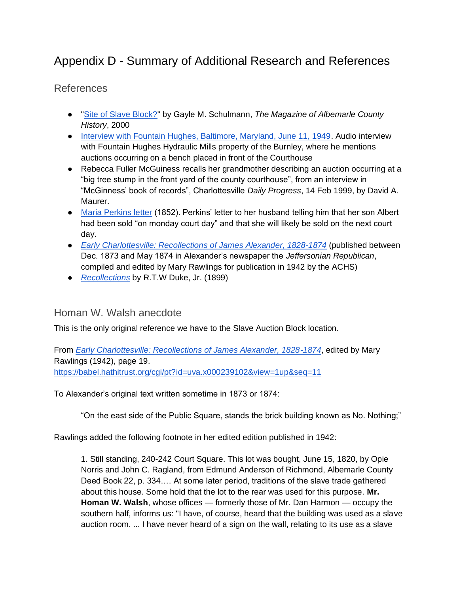# Appendix D - Summary of Additional Research and References

## References

- ["Site of Slave Block?"](https://albemarlehistory.org/mach58_2000-schulman-12212021/) by Gayle M. Schulmann, *The Magazine of Albemarle County History*, 2000
- [Interview with Fountain Hughes, Baltimore, Maryland, June 11, 1949.](https://www.loc.gov/item/afc1950037_afs09990a/) Audio interview with Fountain Hughes Hydraulic Mills property of the Burnley, where he mentions auctions occurring on a bench placed in front of the Courthouse
- Rebecca Fuller McGuiness recalls her grandmother describing an auction occurring at a "big tree stump in the front yard of the county courthouse", from an interview in "McGinness' book of records", Charlottesville *Daily Progress*, 14 Feb 1999, by David A. Maurer.
- [Maria Perkins letter](https://en.wikipedia.org/wiki/Maria_Perkins_letter) (1852). Perkins' letter to her husband telling him that her son Albert had been sold "on monday court day" and that she will likely be sold on the next court day.
- *[Early Charlottesville: Recollections of James Alexander, 1828-1874](https://hdl.handle.net/2027/uva.x000239102)* (published between Dec. 1873 and May 1874 in Alexander's newspaper the *Jeffersonian Republican*, compiled and edited by Mary Rawlings for publication in 1942 by the ACHS)
- *[Recollections](https://small.library.virginia.edu/collections/featured/duke-family-papers/recollections/)* by R.T.W Duke, Jr. (1899)

### Homan W. Walsh anecdote

This is the only original reference we have to the Slave Auction Block location.

From *[Early Charlottesville: Recollections of James Alexander, 1828-1874](https://hdl.handle.net/2027/uva.x000239102)*, edited by Mary Rawlings (1942), page 19. <https://babel.hathitrust.org/cgi/pt?id=uva.x000239102&view=1up&seq=11>

To Alexander's original text written sometime in 1873 or 1874:

"On the east side of the Public Square, stands the brick building known as No. Nothing;"

Rawlings added the following footnote in her edited edition published in 1942:

1. Still standing, 240-242 Court Square. This lot was bought, June 15, 1820, by Opie Norris and John C. Ragland, from Edmund Anderson of Richmond, Albemarle County Deed Book 22, p. 334.… At some later period, traditions of the slave trade gathered about this house. Some hold that the lot to the rear was used for this purpose. **Mr. Homan W. Walsh**, whose offices — formerly those of Mr. Dan Harmon — occupy the southern half, informs us: "I have, of course, heard that the building was used as a slave auction room. ... I have never heard of a sign on the wall, relating to its use as a slave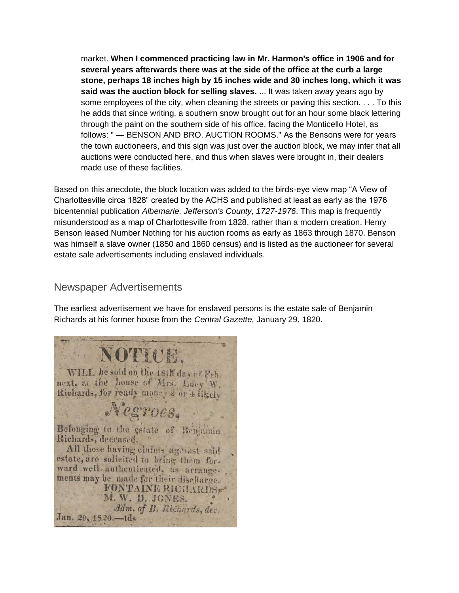market. **When I commenced practicing law in Mr. Harmon's office in 1906 and for several years afterwards there was at the side of the office at the curb a large stone, perhaps 18 inches high by 15 inches wide and 30 inches long, which it was said was the auction block for selling slaves.** ... It was taken away years ago by some employees of the city, when cleaning the streets or paving this section. . . . To this he adds that since writing, a southern snow brought out for an hour some black lettering through the paint on the southern side of his office, facing the Monticello Hotel, as follows: " — BENSON AND BRO. AUCTION ROOMS." As the Bensons were for years the town auctioneers, and this sign was just over the auction block, we may infer that all auctions were conducted here, and thus when slaves were brought in, their dealers made use of these facilities.

Based on this anecdote, the block location was added to the birds-eye view map "A View of Charlottesville circa 1828" created by the ACHS and published at least as early as the 1976 bicentennial publication *Albemarle, Jefferson's County, 1727-1976*. This map is frequently misunderstood as a map of Charlottesville from 1828, rather than a modern creation. Henry Benson leased Number Nothing for his auction rooms as early as 1863 through 1870. Benson was himself a slave owner (1850 and 1860 census) and is listed as the auctioneer for several estate sale advertisements including enslaved individuals.

#### Newspaper Advertisements

The earliest advertisement we have for enslaved persons is the estate sale of Benjamin Richards at his former house from the *Central Gazette,* January 29, 1820.

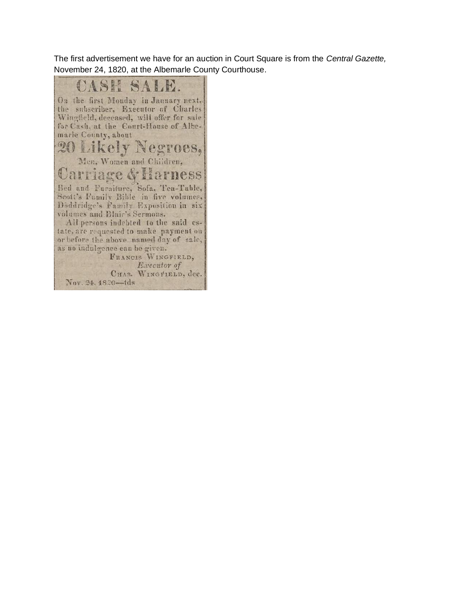The first advertisement we have for an auction in Court Square is from the *Central Gazette,* November 24, 1820, at the Albemarle County Courthouse.

SH SAL dh On the first Monday in January next, the subscriber, Executor of Charles Wingfield, deceased, will offer for sale for Cash, at the Court-House of Albemarle County, about *ikely Negroes,* Men, Women and Children, Carriage & Ha rness Bed and Furniture, Sofa, Tea-Table, Scott's Family Bible in five volumes, Doddridge's Family Exposition in six volumes and Blair's Sermons. All persons indebted to the said estate, are requested to make payment on or before the above named day of sale, as no indulgence can be given. FRANCIS WINGFIELD, Executor of CHAS. WINGFIELD, dec.

Nov. 24, 1820-tds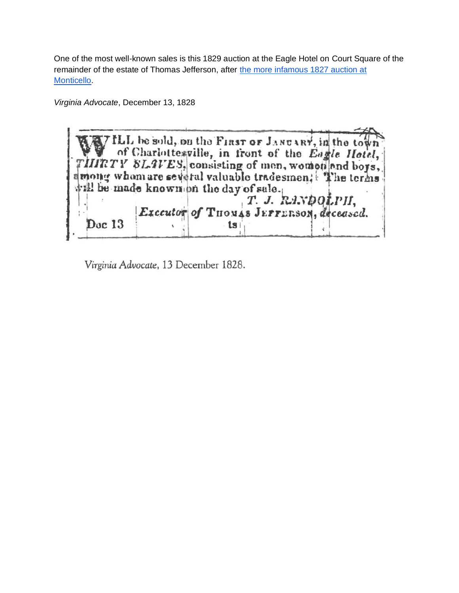One of the most well-known sales is this 1829 auction at the Eagle Hotel on Court Square of the remainder of the estate of Thomas Jefferson, after the more infamous 1827 auction at [Monticello.](https://www.monticello.org/slaveauction/)

*Virginia Advocate*, December 13, 1828



Virginia Advocate, 13 December 1828.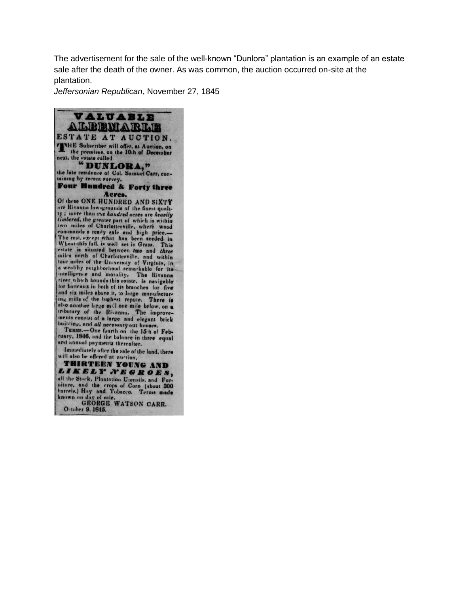The advertisement for the sale of the well-known "Dunlora" plantation is an example of an estate sale after the death of the owner. As was common, the auction occurred on-site at the plantation.

*Jeffersonian Republican*, November 27, 1845

ALBEMARLE ESTATE AT AUCTION. THE Subscriber will offer, at Auction, on<br>the premises, on the 10th of December<br>next, the estate called<br> $\bullet$  DUNLORA," the late residence of Col. Samuel Carr, containing by recent survey, Four Hundred & Forty three Acres. Of these ONE HUNDRED AND SIXTY are Rivanna low-grounds of the finest qualiare Rivanta low-groomds of the finest quali-<br>
iy; more than one handed acres are heavily<br>
timbered, the greater part of which is within<br>
two miles of Charlottesville, where wood<br>
commands a ready sale and high price.—<br>
Th estate is situated between two and three<br>tailes north of Charlottesville, and within<br>low miles of the University of Virginia, in a wealthy neighborhood remarkable for its intelligence and morality. The Rivanna for battenux in both of its branches for five and six miles above it, to large manufacture<br>ing mills of the highest repute. There is Im this of the highest repute. There is<br>absoluter large multi one mile below, on a<br>tributary of the Bivannu. The improve-<br>ments consist of a large and elegant brick<br>building, and all necessary out houses.<br>Tanax. -One four ruary, 1846, and the balance in three equal

**VALUABLE** 

and annual payments thereafter. Immediately after the sale of the land, there will also be offered at auction.

THIRTEEN YOUNG AND LIKELY NEGROES, all the Stock, Plantation Utensils, and Furthern and the crops of Corn (about 300 barrels.) Hay and Tobacco. Terms made known on day of sale.

**GEORGE WATSON CARR.** October 9, 1845.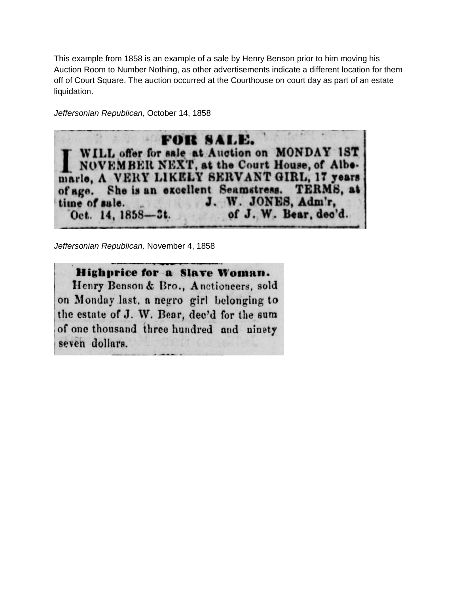This example from 1858 is an example of a sale by Henry Benson prior to him moving his Auction Room to Number Nothing, as other advertisements indicate a different location for them off of Court Square. The auction occurred at the Courthouse on court day as part of an estate liquidation.

*Jeffersonian Republican*, October 14, 1858



*Jeffersonian Republican,* November 4, 1858

Highprice for a Slave Woman. Henry Benson & Bro., Anctioneers, sold on Monday last, a negro girl belonging to the estate of J. W. Bear, dec'd for the sum of one thousand three hundred and ninety seven dollars.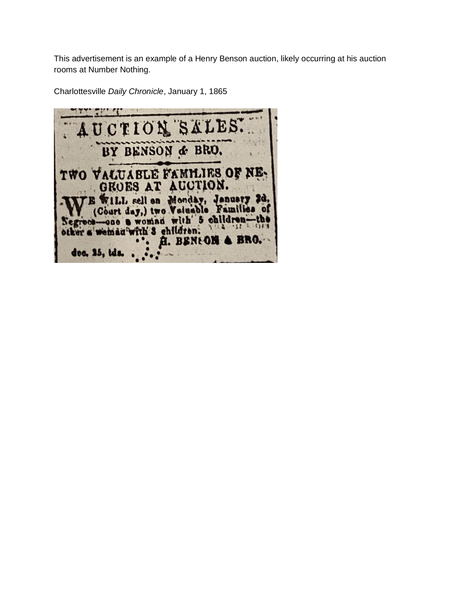This advertisement is an example of a Henry Benson auction, likely occurring at his auction rooms at Number Nothing.

Charlottesville *Daily Chronicle*, January 1, 1865